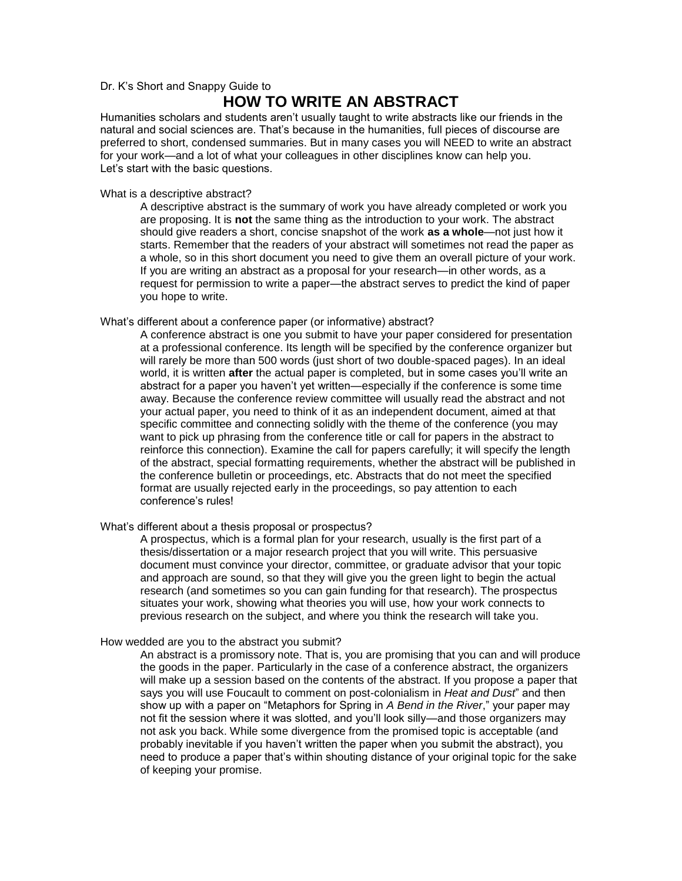## Dr. K's Short and Snappy Guide to

# **HOW TO WRITE AN ABSTRACT**

Humanities scholars and students aren't usually taught to write abstracts like our friends in the natural and social sciences are. That's because in the humanities, full pieces of discourse are preferred to short, condensed summaries. But in many cases you will NEED to write an abstract for your work—and a lot of what your colleagues in other disciplines know can help you. Let's start with the basic questions.

What is a descriptive abstract?

A descriptive abstract is the summary of work you have already completed or work you are proposing. It is **not** the same thing as the introduction to your work. The abstract should give readers a short, concise snapshot of the work **as a whole**—not just how it starts. Remember that the readers of your abstract will sometimes not read the paper as a whole, so in this short document you need to give them an overall picture of your work. If you are writing an abstract as a proposal for your research—in other words, as a request for permission to write a paper—the abstract serves to predict the kind of paper you hope to write.

#### What's different about a conference paper (or informative) abstract?

A conference abstract is one you submit to have your paper considered for presentation at a professional conference. Its length will be specified by the conference organizer but will rarely be more than 500 words (just short of two double-spaced pages). In an ideal world, it is written **after** the actual paper is completed, but in some cases you'll write an abstract for a paper you haven't yet written—especially if the conference is some time away. Because the conference review committee will usually read the abstract and not your actual paper, you need to think of it as an independent document, aimed at that specific committee and connecting solidly with the theme of the conference (you may want to pick up phrasing from the conference title or call for papers in the abstract to reinforce this connection). Examine the call for papers carefully; it will specify the length of the abstract, special formatting requirements, whether the abstract will be published in the conference bulletin or proceedings, etc. Abstracts that do not meet the specified format are usually rejected early in the proceedings, so pay attention to each conference's rules!

### What's different about a thesis proposal or prospectus?

A prospectus, which is a formal plan for your research, usually is the first part of a thesis/dissertation or a major research project that you will write. This persuasive document must convince your director, committee, or graduate advisor that your topic and approach are sound, so that they will give you the green light to begin the actual research (and sometimes so you can gain funding for that research). The prospectus situates your work, showing what theories you will use, how your work connects to previous research on the subject, and where you think the research will take you.

#### How wedded are you to the abstract you submit?

An abstract is a promissory note. That is, you are promising that you can and will produce the goods in the paper. Particularly in the case of a conference abstract, the organizers will make up a session based on the contents of the abstract. If you propose a paper that says you will use Foucault to comment on post-colonialism in *Heat and Dust*" and then show up with a paper on "Metaphors for Spring in *A Bend in the River*," your paper may not fit the session where it was slotted, and you'll look silly—and those organizers may not ask you back. While some divergence from the promised topic is acceptable (and probably inevitable if you haven't written the paper when you submit the abstract), you need to produce a paper that's within shouting distance of your original topic for the sake of keeping your promise.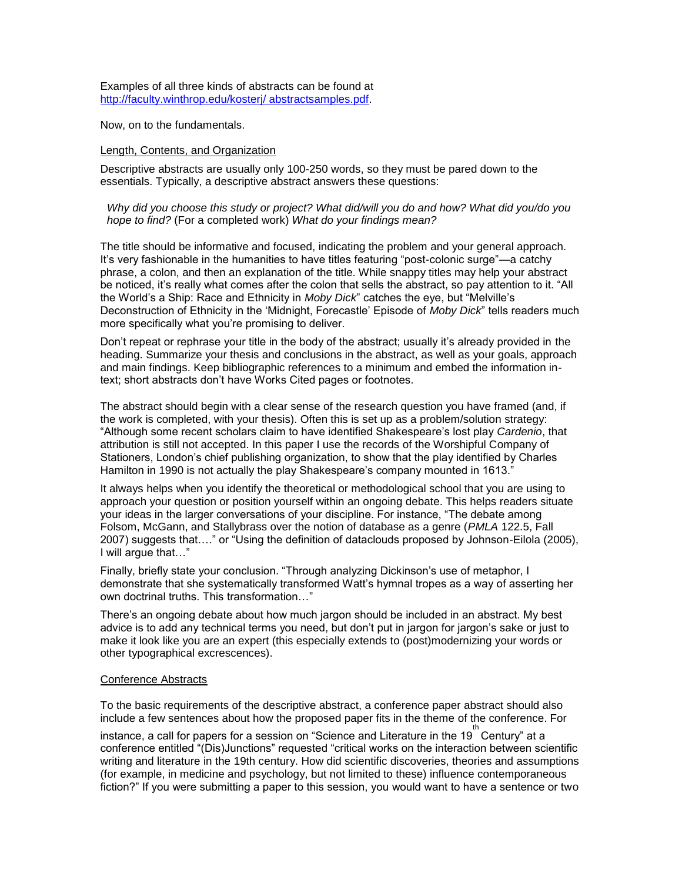Examples of all three kinds of abstracts can be found at http://faculty.winthrop.edu/kosterj/ abstractsamples.pdf.

Now, on to the fundamentals.

## Length, Contents, and Organization

Descriptive abstracts are usually only 100-250 words, so they must be pared down to the essentials. Typically, a descriptive abstract answers these questions:

## *Why did you choose this study or project? What did/will you do and how? What did you/do you hope to find?* (For a completed work) *What do your findings mean?*

The title should be informative and focused, indicating the problem and your general approach. It's very fashionable in the humanities to have titles featuring "post-colonic surge"—a catchy phrase, a colon, and then an explanation of the title. While snappy titles may help your abstract be noticed, it's really what comes after the colon that sells the abstract, so pay attention to it. "All the World's a Ship: Race and Ethnicity in *Moby Dick*" catches the eye, but "Melville's Deconstruction of Ethnicity in the 'Midnight, Forecastle' Episode of *Moby Dick*" tells readers much more specifically what you're promising to deliver.

Don't repeat or rephrase your title in the body of the abstract; usually it's already provided in the heading. Summarize your thesis and conclusions in the abstract, as well as your goals, approach and main findings. Keep bibliographic references to a minimum and embed the information intext; short abstracts don't have Works Cited pages or footnotes.

The abstract should begin with a clear sense of the research question you have framed (and, if the work is completed, with your thesis). Often this is set up as a problem/solution strategy: "Although some recent scholars claim to have identified Shakespeare's lost play *Cardenio*, that attribution is still not accepted. In this paper I use the records of the Worshipful Company of Stationers, London's chief publishing organization, to show that the play identified by Charles Hamilton in 1990 is not actually the play Shakespeare's company mounted in 1613."

It always helps when you identify the theoretical or methodological school that you are using to approach your question or position yourself within an ongoing debate. This helps readers situate your ideas in the larger conversations of your discipline. For instance, "The debate among Folsom, McGann, and Stallybrass over the notion of database as a genre (*PMLA* 122.5, Fall 2007) suggests that…." or "Using the definition of dataclouds proposed by Johnson-Eilola (2005), I will argue that…"

Finally, briefly state your conclusion. "Through analyzing Dickinson's use of metaphor, I demonstrate that she systematically transformed Watt's hymnal tropes as a way of asserting her own doctrinal truths. This transformation…"

There's an ongoing debate about how much jargon should be included in an abstract. My best advice is to add any technical terms you need, but don't put in jargon for jargon's sake or just to make it look like you are an expert (this especially extends to (post)modernizing your words or other typographical excrescences).

### Conference Abstracts

To the basic requirements of the descriptive abstract, a conference paper abstract should also include a few sentences about how the proposed paper fits in the theme of the conference. For

instance, a call for papers for a session on "Science and Literature in the 19<sup>th</sup> Century" at a conference entitled "(Dis)Junctions" requested "critical works on the interaction between scientific writing and literature in the 19th century. How did scientific discoveries, theories and assumptions (for example, in medicine and psychology, but not limited to these) influence contemporaneous fiction?" If you were submitting a paper to this session, you would want to have a sentence or two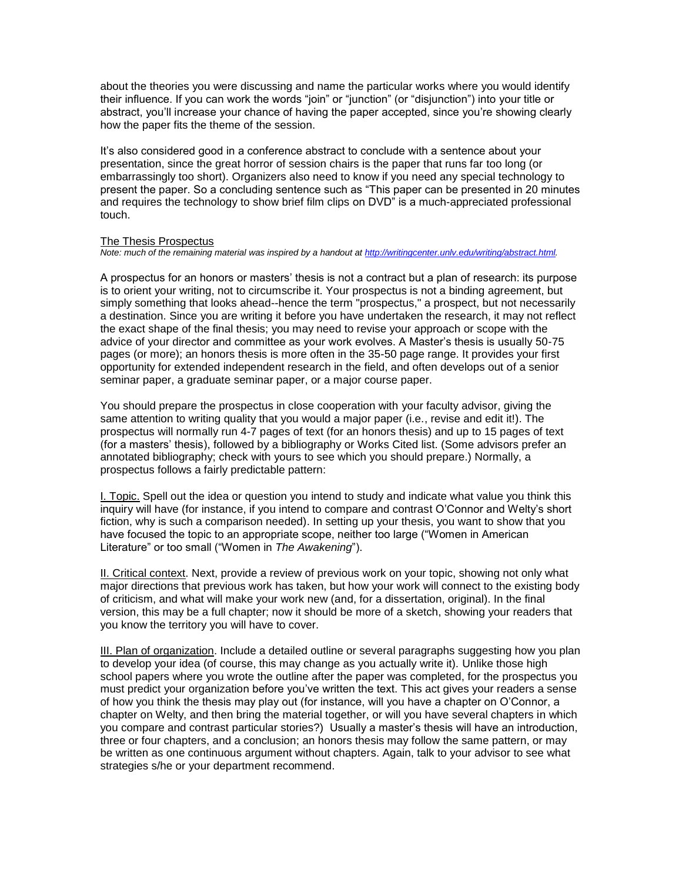about the theories you were discussing and name the particular works where you would identify their influence. If you can work the words "join" or "junction" (or "disjunction") into your title or abstract, you'll increase your chance of having the paper accepted, since you're showing clearly how the paper fits the theme of the session.

It's also considered good in a conference abstract to conclude with a sentence about your presentation, since the great horror of session chairs is the paper that runs far too long (or embarrassingly too short). Organizers also need to know if you need any special technology to present the paper. So a concluding sentence such as "This paper can be presented in 20 minutes and requires the technology to show brief film clips on DVD" is a much-appreciated professional touch.

#### The Thesis Prospectus

*Note: much of the remaining material was inspired by a handout a[t http://writingcenter.unlv.edu/writing/abstract.html.](http://writingcenter.unlv.edu/writing/abstract.html)*

A prospectus for an honors or masters' thesis is not a contract but a plan of research: its purpose is to orient your writing, not to circumscribe it. Your prospectus is not a binding agreement, but simply something that looks ahead--hence the term "prospectus," a prospect, but not necessarily a destination. Since you are writing it before you have undertaken the research, it may not reflect the exact shape of the final thesis; you may need to revise your approach or scope with the advice of your director and committee as your work evolves. A Master's thesis is usually 50-75 pages (or more); an honors thesis is more often in the 35-50 page range. It provides your first opportunity for extended independent research in the field, and often develops out of a senior seminar paper, a graduate seminar paper, or a major course paper.

You should prepare the prospectus in close cooperation with your faculty advisor, giving the same attention to writing quality that you would a major paper (i.e., revise and edit it!). The prospectus will normally run 4-7 pages of text (for an honors thesis) and up to 15 pages of text (for a masters' thesis), followed by a bibliography or Works Cited list. (Some advisors prefer an annotated bibliography; check with yours to see which you should prepare.) Normally, a prospectus follows a fairly predictable pattern:

I. Topic. Spell out the idea or question you intend to study and indicate what value you think this inquiry will have (for instance, if you intend to compare and contrast O'Connor and Welty's short fiction, why is such a comparison needed). In setting up your thesis, you want to show that you have focused the topic to an appropriate scope, neither too large ("Women in American Literature" or too small ("Women in *The Awakening*").

II. Critical context. Next, provide a review of previous work on your topic, showing not only what major directions that previous work has taken, but how your work will connect to the existing body of criticism, and what will make your work new (and, for a dissertation, original). In the final version, this may be a full chapter; now it should be more of a sketch, showing your readers that you know the territory you will have to cover.

III. Plan of organization. Include a detailed outline or several paragraphs suggesting how you plan to develop your idea (of course, this may change as you actually write it). Unlike those high school papers where you wrote the outline after the paper was completed, for the prospectus you must predict your organization before you've written the text. This act gives your readers a sense of how you think the thesis may play out (for instance, will you have a chapter on O'Connor, a chapter on Welty, and then bring the material together, or will you have several chapters in which you compare and contrast particular stories?) Usually a master's thesis will have an introduction, three or four chapters, and a conclusion; an honors thesis may follow the same pattern, or may be written as one continuous argument without chapters. Again, talk to your advisor to see what strategies s/he or your department recommend.